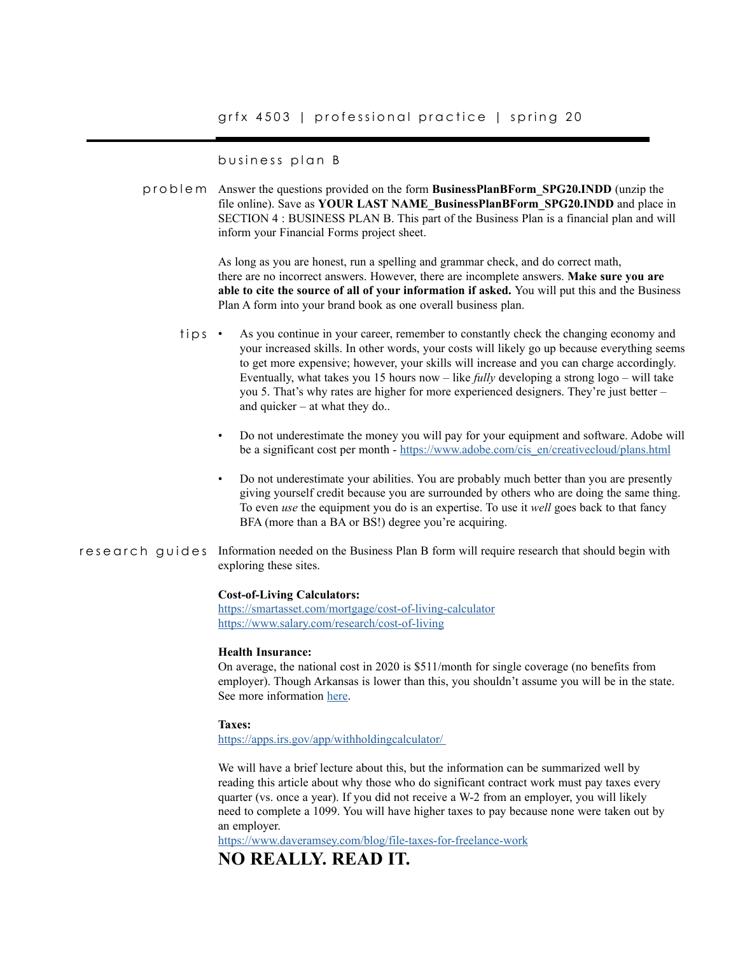business plan B

problem Answer the questions provided on the form **BusinessPlanBForm\_SPG20.INDD** (unzip the file online). Save as **YOUR LAST NAME\_BusinessPlanBForm\_SPG20.INDD** and place in SECTION 4 : BUSINESS PLAN B. This part of the Business Plan is a financial plan and will inform your Financial Forms project sheet.

> As long as you are honest, run a spelling and grammar check, and do correct math, there are no incorrect answers. However, there are incomplete answers. **Make sure you are able to cite the source of all of your information if asked.** You will put this and the Business Plan A form into your brand book as one overall business plan.

- As you continue in your career, remember to constantly check the changing economy and your increased skills. In other words, your costs will likely go up because everything seems to get more expensive; however, your skills will increase and you can charge accordingly. Eventually, what takes you 15 hours now – like *fully* developing a strong logo – will take you 5. That's why rates are higher for more experienced designers. They're just better – and quicker – at what they do.. tips
	- Do not underestimate the money you will pay for your equipment and software. Adobe will be a significant cost per month - [https://www.adobe.com/cis\\_en/creativecloud/plans.html](https://www.adobe.com/cis_en/creativecloud/plans.html)
	- Do not underestimate your abilities. You are probably much better than you are presently giving yourself credit because you are surrounded by others who are doing the same thing. To even *use* the equipment you do is an expertise. To use it *well* goes back to that fancy BFA (more than a BA or BS!) degree you're acquiring.
- research guides Information needed on the Business Plan B form will require research that should begin with exploring these sites.

#### **Cost-of-Living Calculators:**

<https://smartasset.com/mortgage/cost-of-living-calculator> <https://www.salary.com/research/cost-of-living>

### **Health Insurance:**

On average, the national cost in 2020 is \$511/month for single coverage (no benefits from employer). Though Arkansas is lower than this, you shouldn't assume you will be in the state. See more information [here.](https://www.valuepenguin.com/average-cost-of-health-insurance)

#### **Taxes:**

[https://apps.irs.gov/app/withholdingcalculator/](https://apps.irs.gov/app/withholdingcalculator/  ) 

We will have a brief lecture about this, but the information can be summarized well by reading this article about why those who do significant contract work must pay taxes every quarter (vs. once a year). If you did not receive a W-2 from an employer, you will likely need to complete a 1099. You will have higher taxes to pay because none were taken out by an employer.

<https://www.daveramsey.com/blog/file-taxes-for-freelance-work>

# **NO REALLY. READ IT.**